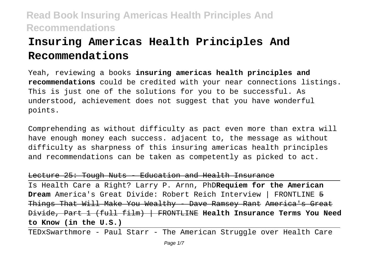# **Insuring Americas Health Principles And Recommendations**

Yeah, reviewing a books **insuring americas health principles and recommendations** could be credited with your near connections listings. This is just one of the solutions for you to be successful. As understood, achievement does not suggest that you have wonderful points.

Comprehending as without difficulty as pact even more than extra will have enough money each success. adjacent to, the message as without difficulty as sharpness of this insuring americas health principles and recommendations can be taken as competently as picked to act.

#### Lecture 25: Tough Nuts - Education and Health Insurance

Is Health Care a Right? Larry P. Arnn, PhD**Requiem for the American Dream** America's Great Divide: Robert Reich Interview | FRONTLINE 5 Things That Will Make You Wealthy - Dave Ramsey Rant America's Great Divide, Part 1 (full film) | FRONTLINE **Health Insurance Terms You Need to Know (in the U.S.)**

TEDxSwarthmore - Paul Starr - The American Struggle over Health Care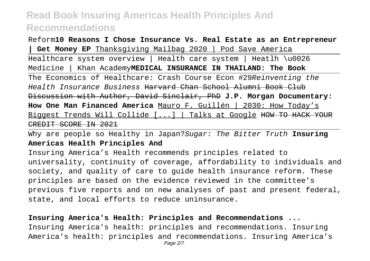Reform**10 Reasons I Chose Insurance Vs. Real Estate as an Entrepreneur | Get Money EP** Thanksgiving Mailbag 2020 | Pod Save America Healthcare system overview | Health care system | Heatlh \u0026 Medicine | Khan Academy**MEDICAL INSURANCE IN THAILAND: The Book** The Economics of Healthcare: Crash Course Econ #29Reinventing the Health Insurance Business Harvard Chan School Alumni Book Club Discussion with Author, David Sinclair, PhD **J.P. Morgan Documentary: How One Man Financed America** Mauro F. Guillén | 2030: How Today's Biggest Trends Will Collide [...] | Talks at Google HOW TO HACK YOUR CREDIT SCORE IN 2021

Why are people so Healthy in Japan?Sugar: The Bitter Truth **Insuring Americas Health Principles And**

Insuring America's Health recommends principles related to universality, continuity of coverage, affordability to individuals and society, and quality of care to guide health insurance reform. These principles are based on the evidence reviewed in the committee's previous five reports and on new analyses of past and present federal, state, and local efforts to reduce uninsurance.

**Insuring America's Health: Principles and Recommendations ...** Insuring America's health: principles and recommendations. Insuring America's health: principles and recommendations. Insuring America's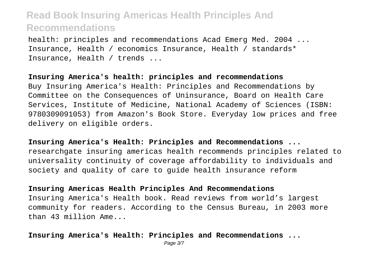health: principles and recommendations Acad Emerg Med. 2004 ... Insurance, Health / economics Insurance, Health / standards\* Insurance, Health / trends ...

### **Insuring America's health: principles and recommendations**

Buy Insuring America's Health: Principles and Recommendations by Committee on the Consequences of Uninsurance, Board on Health Care Services, Institute of Medicine, National Academy of Sciences (ISBN: 9780309091053) from Amazon's Book Store. Everyday low prices and free delivery on eligible orders.

## **Insuring America's Health: Principles and Recommendations ...** researchgate insuring americas health recommends principles related to universality continuity of coverage affordability to individuals and society and quality of care to guide health insurance reform

#### **Insuring Americas Health Principles And Recommendations**

Insuring America's Health book. Read reviews from world's largest community for readers. According to the Census Bureau, in 2003 more than 43 million Ame...

### **Insuring America's Health: Principles and Recommendations ...**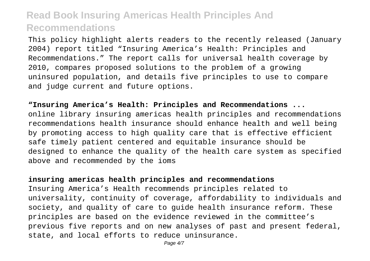This policy highlight alerts readers to the recently released (January 2004) report titled "Insuring America's Health: Principles and Recommendations." The report calls for universal health coverage by 2010, compares proposed solutions to the problem of a growing uninsured population, and details five principles to use to compare and judge current and future options.

**"Insuring America's Health: Principles and Recommendations ...** online library insuring americas health principles and recommendations recommendations health insurance should enhance health and well being by promoting access to high quality care that is effective efficient safe timely patient centered and equitable insurance should be designed to enhance the quality of the health care system as specified above and recommended by the ioms

### **insuring americas health principles and recommendations**

Insuring America's Health recommends principles related to universality, continuity of coverage, affordability to individuals and society, and quality of care to guide health insurance reform. These principles are based on the evidence reviewed in the committee's previous five reports and on new analyses of past and present federal, state, and local efforts to reduce uninsurance.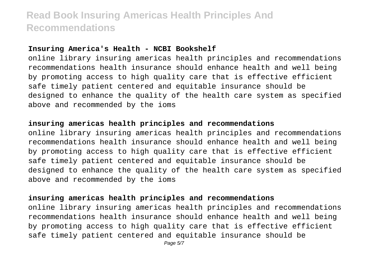### **Insuring America's Health - NCBI Bookshelf**

online library insuring americas health principles and recommendations recommendations health insurance should enhance health and well being by promoting access to high quality care that is effective efficient safe timely patient centered and equitable insurance should be designed to enhance the quality of the health care system as specified above and recommended by the ioms

### **insuring americas health principles and recommendations**

online library insuring americas health principles and recommendations recommendations health insurance should enhance health and well being by promoting access to high quality care that is effective efficient safe timely patient centered and equitable insurance should be designed to enhance the quality of the health care system as specified above and recommended by the ioms

### **insuring americas health principles and recommendations**

online library insuring americas health principles and recommendations recommendations health insurance should enhance health and well being by promoting access to high quality care that is effective efficient safe timely patient centered and equitable insurance should be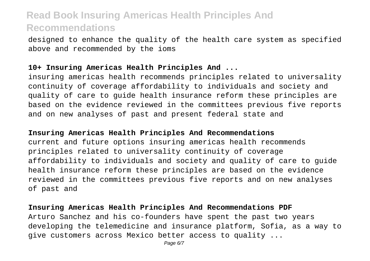designed to enhance the quality of the health care system as specified above and recommended by the ioms

### **10+ Insuring Americas Health Principles And ...**

insuring americas health recommends principles related to universality continuity of coverage affordability to individuals and society and quality of care to guide health insurance reform these principles are based on the evidence reviewed in the committees previous five reports and on new analyses of past and present federal state and

### **Insuring Americas Health Principles And Recommendations**

current and future options insuring americas health recommends principles related to universality continuity of coverage affordability to individuals and society and quality of care to guide health insurance reform these principles are based on the evidence reviewed in the committees previous five reports and on new analyses of past and

## **Insuring Americas Health Principles And Recommendations PDF** Arturo Sanchez and his co-founders have spent the past two years

developing the telemedicine and insurance platform, Sofia, as a way to give customers across Mexico better access to quality ...